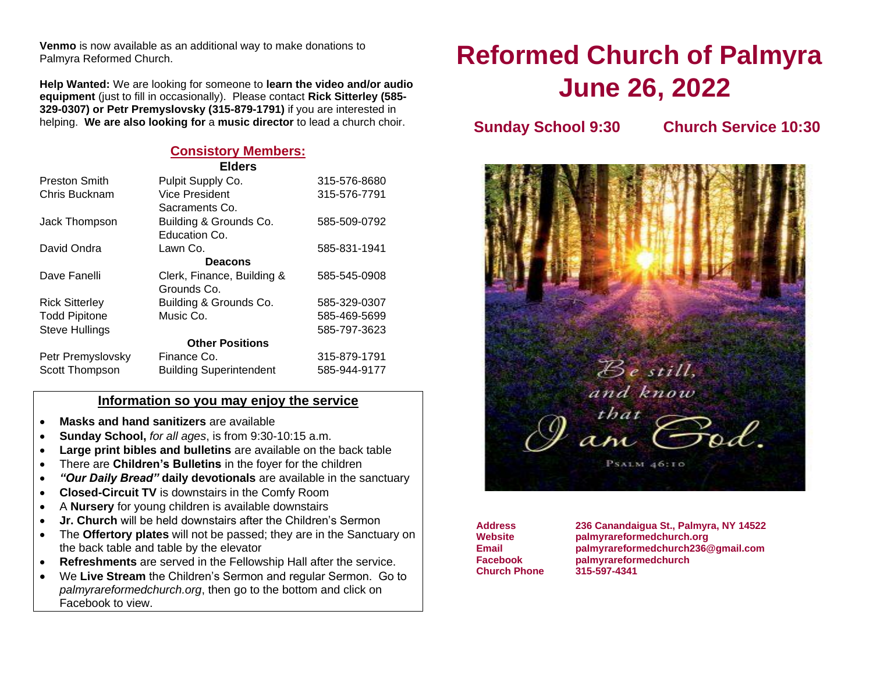**Venmo** is now available as an additional way to make donations to Palmyra Reformed Church.

**Help Wanted:** We are looking for someone to **learn the video and/or audio equipment** (just to fill in occasionally). Please contact **Rick Sitterley (585- 329-0307) or Petr Premyslovsky (315-879-1791)** if you are interested in helping. **We are also looking for** a **music director** to lead a church choir.

#### **Consistory Members:**

| <b>Elders</b>          |                                |              |  |  |  |  |  |
|------------------------|--------------------------------|--------------|--|--|--|--|--|
| <b>Preston Smith</b>   | Pulpit Supply Co.              | 315-576-8680 |  |  |  |  |  |
| Chris Bucknam          | Vice President                 | 315-576-7791 |  |  |  |  |  |
|                        | Sacraments Co.                 |              |  |  |  |  |  |
| Jack Thompson          | Building & Grounds Co.         | 585-509-0792 |  |  |  |  |  |
|                        | Education Co.                  |              |  |  |  |  |  |
| David Ondra            | Lawn Co.                       | 585-831-1941 |  |  |  |  |  |
| <b>Deacons</b>         |                                |              |  |  |  |  |  |
| Dave Fanelli           | Clerk, Finance, Building &     | 585-545-0908 |  |  |  |  |  |
|                        | Grounds Co.                    |              |  |  |  |  |  |
| <b>Rick Sitterley</b>  | Building & Grounds Co.         | 585-329-0307 |  |  |  |  |  |
| <b>Todd Pipitone</b>   | Music Co.                      | 585-469-5699 |  |  |  |  |  |
| <b>Steve Hullings</b>  |                                | 585-797-3623 |  |  |  |  |  |
| <b>Other Positions</b> |                                |              |  |  |  |  |  |
| Petr Premyslovsky      | Finance Co.                    | 315-879-1791 |  |  |  |  |  |
| Scott Thompson         | <b>Building Superintendent</b> | 585-944-9177 |  |  |  |  |  |

#### **Information so you may enjoy the service**

- **Masks and hand sanitizers** are available
- **Sunday School,** *for all ages*, is from 9:30-10:15 a.m.
- **Large print bibles and bulletins** are available on the back table
- There are **Children's Bulletins** in the foyer for the children
- *"Our Daily Bread"* **daily devotionals** are available in the sanctuary
- **Closed-Circuit TV** is downstairs in the Comfy Room
- A **Nursery** for young children is available downstairs
- **Jr. Church** will be held downstairs after the Children's Sermon
- The **Offertory plates** will not be passed; they are in the Sanctuary on the back table and table by the elevator
- **Refreshments** are served in the Fellowship Hall after the service.
- We **Live Stream** the Children's Sermon and regular Sermon. Go to *palmyrareformedchurch.org*, then go to the bottom and click on Facebook to view.

# **Reformed Church of Palmyra June 26, 2022**

**Sunday School 9:30 Church Service 10:30**



**Church Phone 315-597-4341**

**Address 236 Canandaigua St., Palmyra, NY 14522 Website palmyrareformedchurch.org Email [palmyrareformedchurch236@gmail.com](mailto:palmyrareformedchurch236@gmail.com) Facebook palmyrareformedchurch**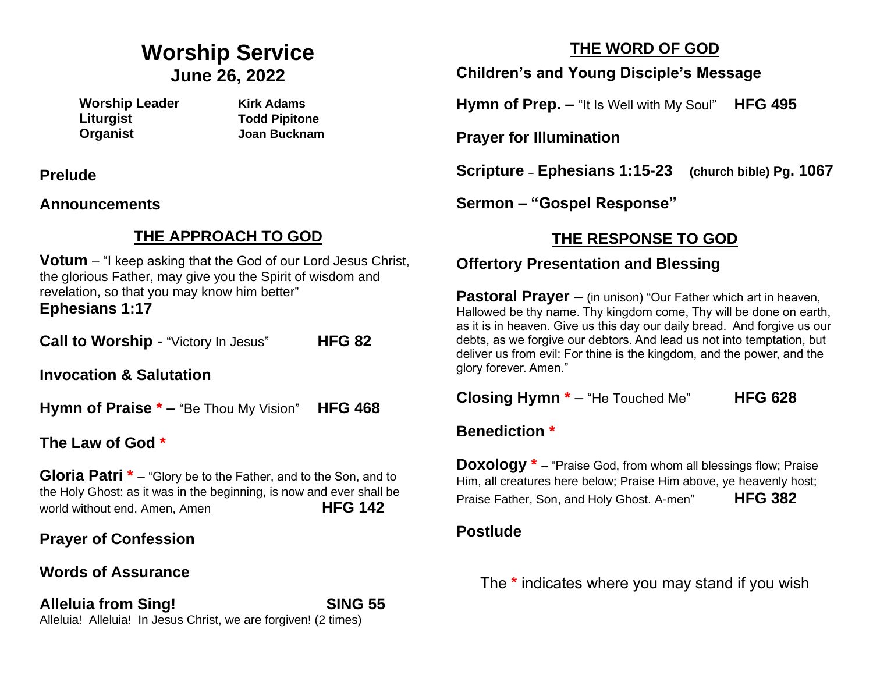## **Worship Service June 26, 2022**

**Worship Leader Kirk Adams Liturgist Todd Pipitone Organist Joan Bucknam**

**Prelude** 

**Announcements** 

## **THE APPROACH TO GOD**

**Votum** – "I keep asking that the God of our Lord Jesus Christ, the glorious Father, may give you the Spirit of wisdom and revelation, so that you may know him better" **Ephesians 1:17**

**Call to Worship** - "Victory In Jesus" **HFG 82**

**Invocation & Salutation** 

**Hymn of Praise \*** – "Be Thou My Vision" **HFG 468**

**The Law of God \*** 

**Gloria Patri**  $*$  – "Glory be to the Father, and to the Son, and to the Holy Ghost: as it was in the beginning, is now and ever shall be world without end. Amen, Amen **HFG 142** 

## **Prayer of Confession**

## **Words of Assurance**

**Alleluia from Sing! SING 55** Alleluia! Alleluia! In Jesus Christ, we are forgiven! (2 times)

## **THE WORD OF GOD**

**Children's and Young Disciple's Message**

**Hymn of Prep. –** "It Is Well with My Soul" **HFG 495**

**Prayer for Illumination**

**Scripture – Ephesians 1:15-23 (church bible) Pg. 1067**

**Sermon – "Gospel Response"**

## **THE RESPONSE TO GOD**

## **Offertory Presentation and Blessing**

**Pastoral Prayer** – (in unison) "Our Father which art in heaven, Hallowed be thy name. Thy kingdom come, Thy will be done on earth, as it is in heaven. Give us this day our daily bread. And forgive us our debts, as we forgive our debtors. And lead us not into temptation, but deliver us from evil: For thine is the kingdom, and the power, and the glory forever. Amen."

**Closing Hymn \*** – "He Touched Me" **HFG 628**

#### **Benediction \***

**Doxology**  $*$  – "Praise God, from whom all blessings flow; Praise Him, all creatures here below; Praise Him above, ye heavenly host; Praise Father, Son, and Holy Ghost. A-men" **HFG 382**

### **Postlude**

The **\*** indicates where you may stand if you wish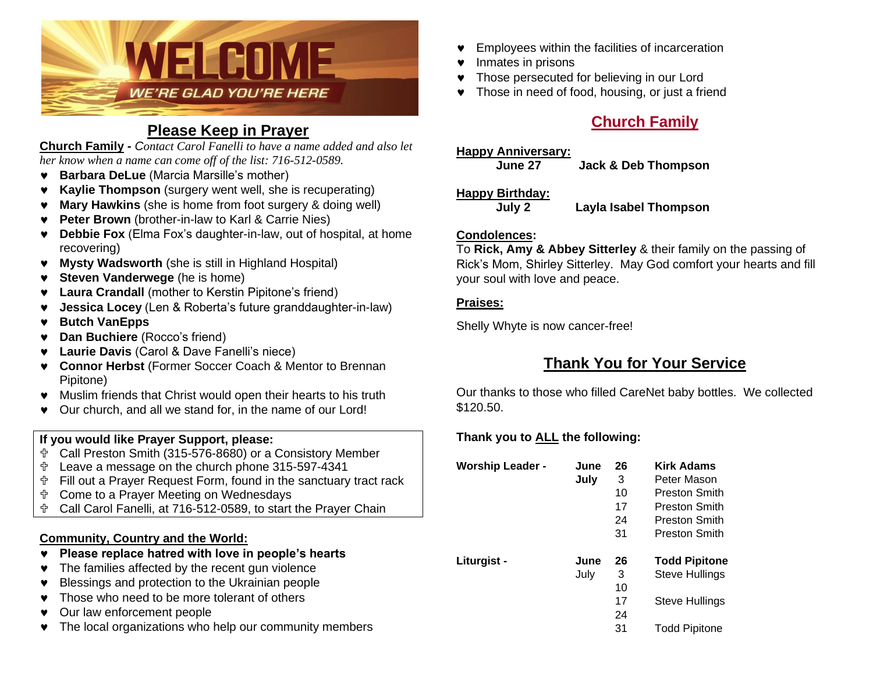

### **Please Keep in Prayer**

**Church Family -** *Contact Carol Fanelli to have a name added and also let her know when a name can come off of the list: 716-512-0589.*

- **Barbara DeLue** (Marcia Marsille's mother)
- **Kaylie Thompson** (surgery went well, she is recuperating)
- **Mary Hawkins** (she is home from foot surgery & doing well)
- **Peter Brown** (brother-in-law to Karl & Carrie Nies)
- **Debbie Fox** (Elma Fox's daughter-in-law, out of hospital, at home recovering)
- **Mysty Wadsworth** (she is still in Highland Hospital)
- **Steven Vanderwege** (he is home)
- **Laura Crandall** (mother to Kerstin Pipitone's friend)
- **Jessica Locey** (Len & Roberta's future granddaughter-in-law)
- **Butch VanEpps**
- **Dan Buchiere** (Rocco's friend)
- **Laurie Davis** (Carol & Dave Fanelli's niece)
- **Connor Herbst** (Former Soccer Coach & Mentor to Brennan Pipitone)
- Muslim friends that Christ would open their hearts to his truth
- Our church, and all we stand for, in the name of our Lord!

#### **If you would like Prayer Support, please:**

- Call Preston Smith (315-576-8680) or a Consistory Member
- Leave a message on the church phone 315-597-4341
- Fill out a Prayer Request Form, found in the sanctuary tract rack
- Come to a Prayer Meeting on Wednesdays
- Call Carol Fanelli, at 716-512-0589, to start the Prayer Chain

#### **Community, Country and the World:**

- **Please replace hatred with love in people's hearts**
- The families affected by the recent gun violence
- **•** Blessings and protection to the Ukrainian people
- Those who need to be more tolerant of others
- **v** Our law enforcement people
- The local organizations who help our community members
- **•** Employees within the facilities of incarceration
- Inmates in prisons
- **v** Those persecuted for believing in our Lord
- Those in need of food, housing, or just a friend

## **Church Family**

#### **Happy Anniversary:**

**June 27 Jack & Deb Thompson**

#### **Happy Birthday:**

**July 2 Layla Isabel Thompson**

#### **Condolences:**

To **Rick, Amy & Abbey Sitterley** & their family on the passing of Rick's Mom, Shirley Sitterley. May God comfort your hearts and fill your soul with love and peace.

#### **Praises:**

Shelly Whyte is now cancer-free!

## **Thank You for Your Service**

Our thanks to those who filled CareNet baby bottles. We collected \$120.50.

#### **Thank you to ALL the following:**

| <b>Worship Leader -</b> | June<br>July | 26<br>3<br>10<br>17<br>24<br>31 | <b>Kirk Adams</b><br>Peter Mason<br>Preston Smith<br>Preston Smith<br>Preston Smith<br><b>Preston Smith</b> |
|-------------------------|--------------|---------------------------------|-------------------------------------------------------------------------------------------------------------|
| Liturgist -             | June<br>July | 26<br>3<br>10<br>17<br>24<br>31 | <b>Todd Pipitone</b><br><b>Steve Hullings</b><br>Steve Hullings<br><b>Todd Pipitone</b>                     |